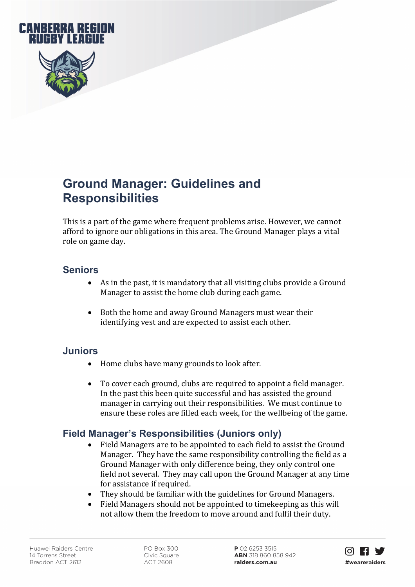

# **Ground Manager: Guidelines and Responsibilities**

This is a part of the game where frequent problems arise. However, we cannot afford to ignore our obligations in this area. The Ground Manager plays a vital role on game day.

#### **Seniors**

- As in the past, it is mandatory that all visiting clubs provide a Ground Manager to assist the home club during each game.
- Both the home and away Ground Managers must wear their identifying vest and are expected to assist each other.

#### **Juniors**

- Home clubs have many grounds to look after.
- To cover each ground, clubs are required to appoint a field manager. In the past this been quite successful and has assisted the ground manager in carrying out their responsibilities. We must continue to ensure these roles are filled each week, for the wellbeing of the game.

### **Field Manager's Responsibilities (Juniors only)**

- Field Managers are to be appointed to each field to assist the Ground Manager. They have the same responsibility controlling the field as a Ground Manager with only difference being, they only control one field not several. They may call upon the Ground Manager at any time for assistance if required.
- They should be familiar with the guidelines for Ground Managers.
- Field Managers should not be appointed to timekeeping as this will not allow them the freedom to move around and fulfil their duty.

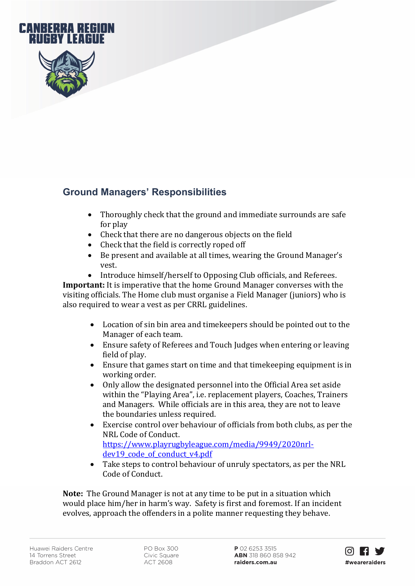

## **Ground Managers' Responsibilities**

- Thoroughly check that the ground and immediate surrounds are safe for play
- Check that there are no dangerous objects on the field<br>• Check that the field is correctly roped off
- Check that the field is correctly roped off<br>• Be present and available at all times, wear
- Be present and available at all times, wearing the Ground Manager's vest.
- Introduce himself/herself to Opposing Club officials, and Referees.

**Important:** It is imperative that the home Ground Manager converses with the visiting officials. The Home club must organise a Field Manager (juniors) who is also required to wear a vest as per CRRL guidelines.

- Location of sin bin area and timekeepers should be pointed out to the Manager of each team.
- Ensure safety of Referees and Touch Judges when entering or leaving field of play.
- Ensure that games start on time and that timekeeping equipment is in working order.
- Only allow the designated personnel into the Official Area set aside within the "Playing Area", i.e. replacement players, Coaches, Trainers and Managers. While officials are in this area, they are not to leave the boundaries unless required.
- Exercise control over behaviour of officials from both clubs, as per the NRL Code of Conduct. [https://www.playrugbyleague.com/media/9949/2020nrl](https://www.playrugbyleague.com/media/9949/2020nrl-dev19_code_of_conduct_v4.pdf)dev19 code of conduct v4.pdf
- Take steps to control behaviour of unruly spectators, as per the NRL Code of Conduct.

**Note:** The Ground Manager is not at any time to be put in a situation which would place him/her in harm's way. Safety is first and foremost. If an incident evolves, approach the offenders in a polite manner requesting they behave.